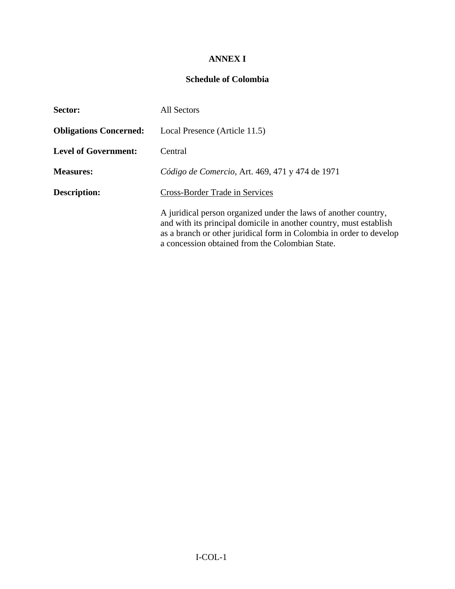## **ANNEX I**

## **Schedule of Colombia**

| <b>Sector:</b>                | <b>All Sectors</b>                                                                                                                                                                                                                                              |
|-------------------------------|-----------------------------------------------------------------------------------------------------------------------------------------------------------------------------------------------------------------------------------------------------------------|
| <b>Obligations Concerned:</b> | Local Presence (Article 11.5)                                                                                                                                                                                                                                   |
| <b>Level of Government:</b>   | Central                                                                                                                                                                                                                                                         |
| <b>Measures:</b>              | Código de Comercio, Art. 469, 471 y 474 de 1971                                                                                                                                                                                                                 |
| <b>Description:</b>           | Cross-Border Trade in Services                                                                                                                                                                                                                                  |
|                               | A juridical person organized under the laws of another country,<br>and with its principal domicile in another country, must establish<br>as a branch or other juridical form in Colombia in order to develop<br>a concession obtained from the Colombian State. |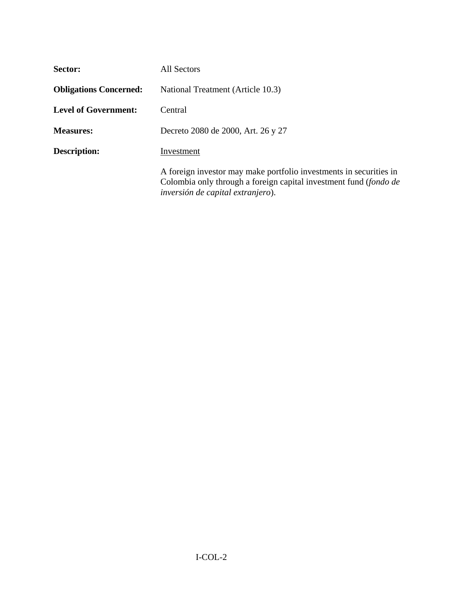| Sector:                       | All Sectors                                                                                                                                                                  |
|-------------------------------|------------------------------------------------------------------------------------------------------------------------------------------------------------------------------|
| <b>Obligations Concerned:</b> | National Treatment (Article 10.3)                                                                                                                                            |
| <b>Level of Government:</b>   | Central                                                                                                                                                                      |
| <b>Measures:</b>              | Decreto 2080 de 2000, Art. 26 y 27                                                                                                                                           |
| <b>Description:</b>           | Investment                                                                                                                                                                   |
|                               | A foreign investor may make portfolio investments in securities in<br>Colombia only through a foreign capital investment fund (fondo de<br>inversión de capital extranjero). |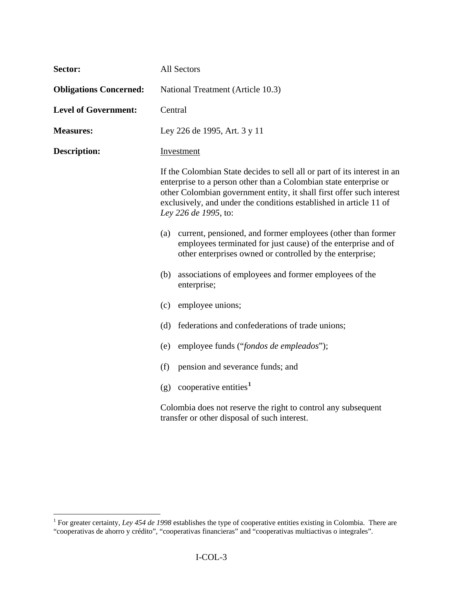| Sector:                       | All Sectors                                                                                                                                                                                                                                                                                                          |
|-------------------------------|----------------------------------------------------------------------------------------------------------------------------------------------------------------------------------------------------------------------------------------------------------------------------------------------------------------------|
| <b>Obligations Concerned:</b> | National Treatment (Article 10.3)                                                                                                                                                                                                                                                                                    |
| <b>Level of Government:</b>   | Central                                                                                                                                                                                                                                                                                                              |
| <b>Measures:</b>              | Ley 226 de 1995, Art. 3 y 11                                                                                                                                                                                                                                                                                         |
| <b>Description:</b>           | Investment                                                                                                                                                                                                                                                                                                           |
|                               | If the Colombian State decides to sell all or part of its interest in an<br>enterprise to a person other than a Colombian state enterprise or<br>other Colombian government entity, it shall first offer such interest<br>exclusively, and under the conditions established in article 11 of<br>Ley 226 de 1995, to: |
|                               | current, pensioned, and former employees (other than former<br>(a)<br>employees terminated for just cause) of the enterprise and of<br>other enterprises owned or controlled by the enterprise;                                                                                                                      |
|                               | associations of employees and former employees of the<br>(b)<br>enterprise;                                                                                                                                                                                                                                          |
|                               | employee unions;<br>(c)                                                                                                                                                                                                                                                                                              |
|                               | federations and confederations of trade unions;<br>(d)                                                                                                                                                                                                                                                               |
|                               | employee funds ("fondos de empleados");<br>(e)                                                                                                                                                                                                                                                                       |
|                               | (f)<br>pension and severance funds; and                                                                                                                                                                                                                                                                              |
|                               | cooperative entities <sup>1</sup><br>(g)                                                                                                                                                                                                                                                                             |
|                               | Colombia does not reserve the right to control any subsequent<br>transfer or other disposal of such interest.                                                                                                                                                                                                        |

<span id="page-2-0"></span> 1 For greater certainty, *Ley 454 de 1998* establishes the type of cooperative entities existing in Colombia. There are "cooperativas de ahorro y crédito", "cooperativas financieras" and "cooperativas multiactivas o integrales".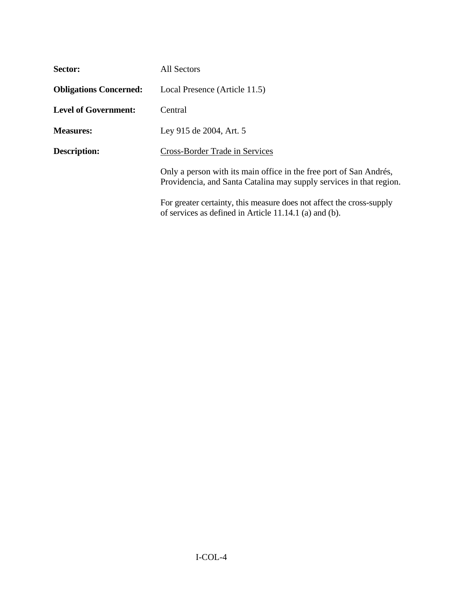| <b>Sector:</b>                | All Sectors                                                                                                                               |
|-------------------------------|-------------------------------------------------------------------------------------------------------------------------------------------|
| <b>Obligations Concerned:</b> | Local Presence (Article 11.5)                                                                                                             |
| <b>Level of Government:</b>   | Central                                                                                                                                   |
| <b>Measures:</b>              | Ley 915 de 2004, Art. 5                                                                                                                   |
| <b>Description:</b>           | <b>Cross-Border Trade in Services</b>                                                                                                     |
|                               | Only a person with its main office in the free port of San Andrés,<br>Providencia, and Santa Catalina may supply services in that region. |
|                               | For greater certainty, this measure does not affect the cross-supply<br>of services as defined in Article $11.14.1$ (a) and (b).          |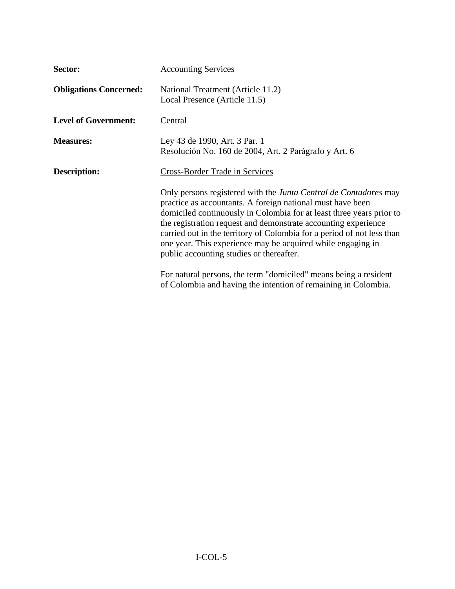| Sector:                       | <b>Accounting Services</b>                                                                                                                                                                                                                                                                                                                                                                                                                                    |
|-------------------------------|---------------------------------------------------------------------------------------------------------------------------------------------------------------------------------------------------------------------------------------------------------------------------------------------------------------------------------------------------------------------------------------------------------------------------------------------------------------|
| <b>Obligations Concerned:</b> | National Treatment (Article 11.2)<br>Local Presence (Article 11.5)                                                                                                                                                                                                                                                                                                                                                                                            |
| <b>Level of Government:</b>   | Central                                                                                                                                                                                                                                                                                                                                                                                                                                                       |
| <b>Measures:</b>              | Ley 43 de 1990, Art. 3 Par. 1<br>Resolución No. 160 de 2004, Art. 2 Parágrafo y Art. 6                                                                                                                                                                                                                                                                                                                                                                        |
| <b>Description:</b>           | Cross-Border Trade in Services                                                                                                                                                                                                                                                                                                                                                                                                                                |
|                               | Only persons registered with the Junta Central de Contadores may<br>practice as accountants. A foreign national must have been<br>domiciled continuously in Colombia for at least three years prior to<br>the registration request and demonstrate accounting experience<br>carried out in the territory of Colombia for a period of not less than<br>one year. This experience may be acquired while engaging in<br>public accounting studies or thereafter. |
|                               | For natural persons, the term "domiciled" means being a resident<br>of Colombia and having the intention of remaining in Colombia.                                                                                                                                                                                                                                                                                                                            |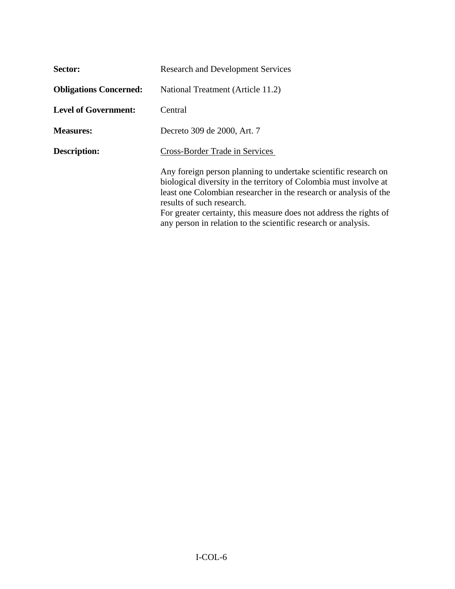| Sector:                       | <b>Research and Development Services</b>                                                                                                                                                                                                                                                                                                                                       |
|-------------------------------|--------------------------------------------------------------------------------------------------------------------------------------------------------------------------------------------------------------------------------------------------------------------------------------------------------------------------------------------------------------------------------|
| <b>Obligations Concerned:</b> | National Treatment (Article 11.2)                                                                                                                                                                                                                                                                                                                                              |
| <b>Level of Government:</b>   | Central                                                                                                                                                                                                                                                                                                                                                                        |
| <b>Measures:</b>              | Decreto 309 de 2000, Art. 7                                                                                                                                                                                                                                                                                                                                                    |
| <b>Description:</b>           | Cross-Border Trade in Services                                                                                                                                                                                                                                                                                                                                                 |
|                               | Any foreign person planning to undertake scientific research on<br>biological diversity in the territory of Colombia must involve at<br>least one Colombian researcher in the research or analysis of the<br>results of such research.<br>For greater certainty, this measure does not address the rights of<br>any person in relation to the scientific research or analysis. |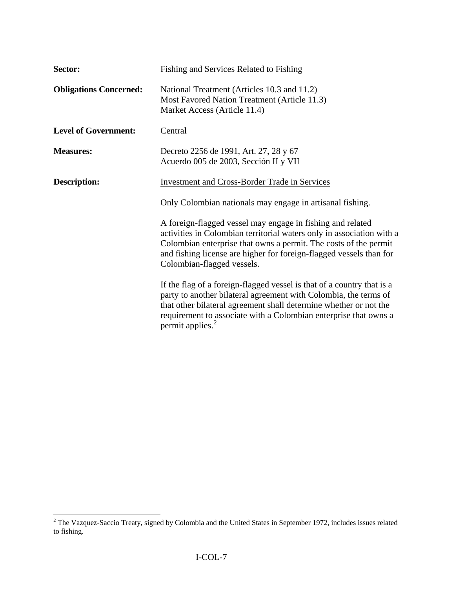| Sector:                       | Fishing and Services Related to Fishing                                                                                                                                                                                                                                                                      |
|-------------------------------|--------------------------------------------------------------------------------------------------------------------------------------------------------------------------------------------------------------------------------------------------------------------------------------------------------------|
| <b>Obligations Concerned:</b> | National Treatment (Articles 10.3 and 11.2)<br>Most Favored Nation Treatment (Article 11.3)<br>Market Access (Article 11.4)                                                                                                                                                                                  |
| <b>Level of Government:</b>   | Central                                                                                                                                                                                                                                                                                                      |
| <b>Measures:</b>              | Decreto 2256 de 1991, Art. 27, 28 y 67<br>Acuerdo 005 de 2003, Sección II y VII                                                                                                                                                                                                                              |
| <b>Description:</b>           | <b>Investment and Cross-Border Trade in Services</b>                                                                                                                                                                                                                                                         |
|                               | Only Colombian nationals may engage in artisanal fishing.                                                                                                                                                                                                                                                    |
|                               | A foreign-flagged vessel may engage in fishing and related<br>activities in Colombian territorial waters only in association with a<br>Colombian enterprise that owns a permit. The costs of the permit<br>and fishing license are higher for foreign-flagged vessels than for<br>Colombian-flagged vessels. |
|                               | If the flag of a foreign-flagged vessel is that of a country that is a<br>party to another bilateral agreement with Colombia, the terms of<br>that other bilateral agreement shall determine whether or not the<br>requirement to associate with a Colombian enterprise that owns a<br>permit applies. $2$   |

<span id="page-6-0"></span><sup>&</sup>lt;sup>2</sup> The Vazquez-Saccio Treaty, signed by Colombia and the United States in September 1972, includes issues related to fishing.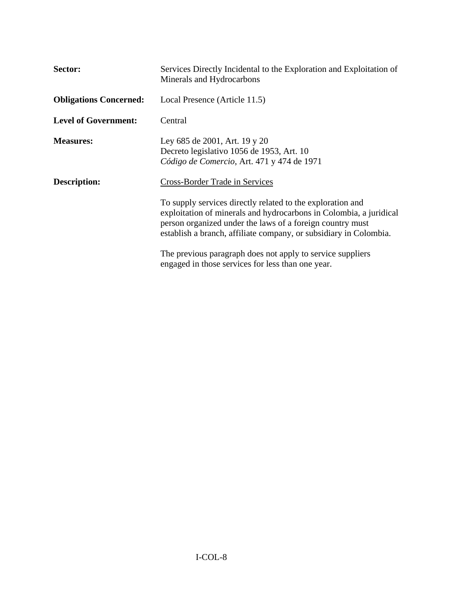| Sector:                       | Services Directly Incidental to the Exploration and Exploitation of<br>Minerals and Hydrocarbons                                                                                                                                                                   |
|-------------------------------|--------------------------------------------------------------------------------------------------------------------------------------------------------------------------------------------------------------------------------------------------------------------|
| <b>Obligations Concerned:</b> | Local Presence (Article 11.5)                                                                                                                                                                                                                                      |
| <b>Level of Government:</b>   | Central                                                                                                                                                                                                                                                            |
| <b>Measures:</b>              | Ley 685 de 2001, Art. 19 y 20<br>Decreto legislativo 1056 de 1953, Art. 10<br>Código de Comercio, Art. 471 y 474 de 1971                                                                                                                                           |
| <b>Description:</b>           | <b>Cross-Border Trade in Services</b>                                                                                                                                                                                                                              |
|                               | To supply services directly related to the exploration and<br>exploitation of minerals and hydrocarbons in Colombia, a juridical<br>person organized under the laws of a foreign country must<br>establish a branch, affiliate company, or subsidiary in Colombia. |
|                               | The previous paragraph does not apply to service suppliers<br>engaged in those services for less than one year.                                                                                                                                                    |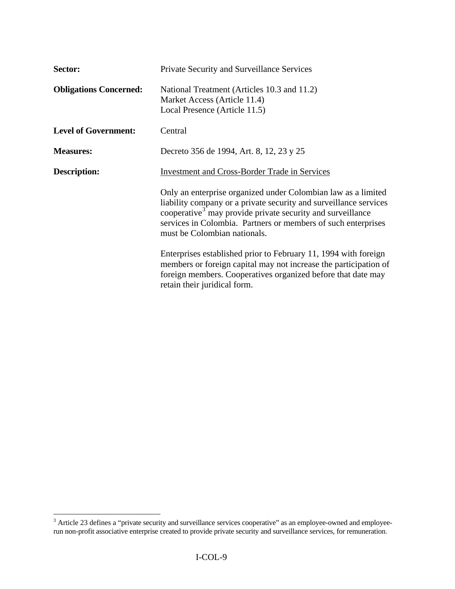| Sector:                       | Private Security and Surveillance Services                                                                                                                                                                                                                                                                    |
|-------------------------------|---------------------------------------------------------------------------------------------------------------------------------------------------------------------------------------------------------------------------------------------------------------------------------------------------------------|
| <b>Obligations Concerned:</b> | National Treatment (Articles 10.3 and 11.2)<br>Market Access (Article 11.4)<br>Local Presence (Article 11.5)                                                                                                                                                                                                  |
| <b>Level of Government:</b>   | Central                                                                                                                                                                                                                                                                                                       |
| <b>Measures:</b>              | Decreto 356 de 1994, Art. 8, 12, 23 y 25                                                                                                                                                                                                                                                                      |
| <b>Description:</b>           | <b>Investment and Cross-Border Trade in Services</b>                                                                                                                                                                                                                                                          |
|                               | Only an enterprise organized under Colombian law as a limited<br>liability company or a private security and surveillance services<br>cooperative <sup>3</sup> may provide private security and surveillance<br>services in Colombia. Partners or members of such enterprises<br>must be Colombian nationals. |
|                               | Enterprises established prior to February 11, 1994 with foreign<br>members or foreign capital may not increase the participation of<br>foreign members. Cooperatives organized before that date may<br>retain their juridical form.                                                                           |

<span id="page-8-0"></span><sup>&</sup>lt;sup>3</sup> Article 23 defines a "private security and surveillance services cooperative" as an employee-owned and employeerun non-profit associative enterprise created to provide private security and surveillance services, for remuneration.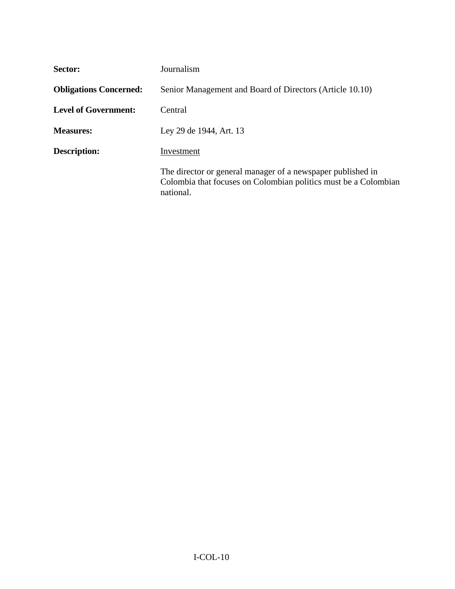| Sector:                       | Journalism                                                                                                                                  |
|-------------------------------|---------------------------------------------------------------------------------------------------------------------------------------------|
| <b>Obligations Concerned:</b> | Senior Management and Board of Directors (Article 10.10)                                                                                    |
| Level of Government:          | Central                                                                                                                                     |
| <b>Measures:</b>              | Ley 29 de 1944, Art. 13                                                                                                                     |
| <b>Description:</b>           | Investment                                                                                                                                  |
|                               | The director or general manager of a newspaper published in<br>Colombia that focuses on Colombian politics must be a Colombian<br>national. |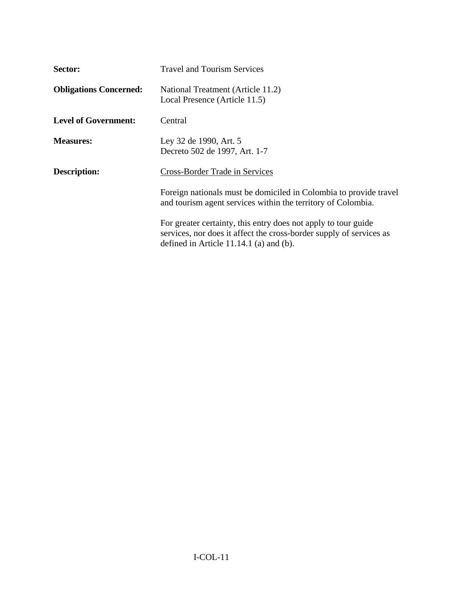| Sector:                       | <b>Travel and Tourism Services</b>                                                                                                                                               |
|-------------------------------|----------------------------------------------------------------------------------------------------------------------------------------------------------------------------------|
| <b>Obligations Concerned:</b> | National Treatment (Article 11.2)<br>Local Presence (Article 11.5)                                                                                                               |
| <b>Level of Government:</b>   | Central                                                                                                                                                                          |
| <b>Measures:</b>              | Ley 32 de 1990, Art. 5<br>Decreto 502 de 1997, Art. 1-7                                                                                                                          |
| <b>Description:</b>           | Cross-Border Trade in Services                                                                                                                                                   |
|                               | Foreign nationals must be domiciled in Colombia to provide travel<br>and tourism agent services within the territory of Colombia.                                                |
|                               | For greater certainty, this entry does not apply to tour guide<br>services, nor does it affect the cross-border supply of services as<br>defined in Article 11.14.1 (a) and (b). |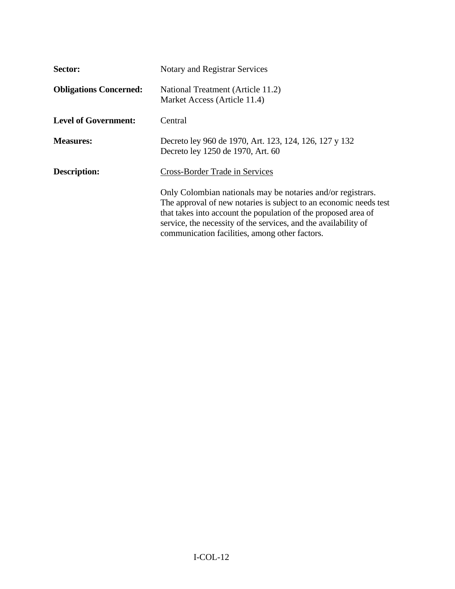| <b>Sector:</b>                | Notary and Registrar Services                                                                                                                                                                                                                                                                                           |
|-------------------------------|-------------------------------------------------------------------------------------------------------------------------------------------------------------------------------------------------------------------------------------------------------------------------------------------------------------------------|
| <b>Obligations Concerned:</b> | National Treatment (Article 11.2)<br>Market Access (Article 11.4)                                                                                                                                                                                                                                                       |
| <b>Level of Government:</b>   | Central                                                                                                                                                                                                                                                                                                                 |
| <b>Measures:</b>              | Decreto ley 960 de 1970, Art. 123, 124, 126, 127 y 132<br>Decreto ley 1250 de 1970, Art. 60                                                                                                                                                                                                                             |
| Description:                  | <b>Cross-Border Trade in Services</b>                                                                                                                                                                                                                                                                                   |
|                               | Only Colombian nationals may be notaries and/or registrars.<br>The approval of new notaries is subject to an economic needs test<br>that takes into account the population of the proposed area of<br>service, the necessity of the services, and the availability of<br>communication facilities, among other factors. |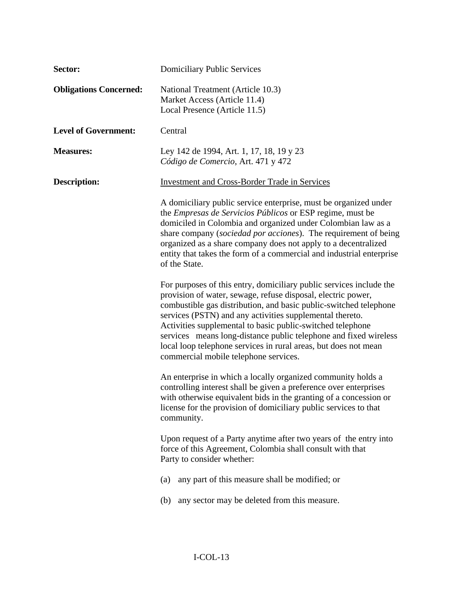| Sector:                       | <b>Domiciliary Public Services</b>                                                                                                                                                                                                                                                                                                                                                                                                                                                                                 |
|-------------------------------|--------------------------------------------------------------------------------------------------------------------------------------------------------------------------------------------------------------------------------------------------------------------------------------------------------------------------------------------------------------------------------------------------------------------------------------------------------------------------------------------------------------------|
| <b>Obligations Concerned:</b> | National Treatment (Article 10.3)<br>Market Access (Article 11.4)<br>Local Presence (Article 11.5)                                                                                                                                                                                                                                                                                                                                                                                                                 |
| <b>Level of Government:</b>   | Central                                                                                                                                                                                                                                                                                                                                                                                                                                                                                                            |
| <b>Measures:</b>              | Ley 142 de 1994, Art. 1, 17, 18, 19 y 23<br>Código de Comercio, Art. 471 y 472                                                                                                                                                                                                                                                                                                                                                                                                                                     |
| <b>Description:</b>           | <b>Investment and Cross-Border Trade in Services</b>                                                                                                                                                                                                                                                                                                                                                                                                                                                               |
|                               | A domiciliary public service enterprise, must be organized under<br>the <i>Empresas de Servicios Públicos</i> or ESP regime, must be<br>domiciled in Colombia and organized under Colombian law as a<br>share company (sociedad por acciones). The requirement of being<br>organized as a share company does not apply to a decentralized<br>entity that takes the form of a commercial and industrial enterprise<br>of the State.                                                                                 |
|                               | For purposes of this entry, domiciliary public services include the<br>provision of water, sewage, refuse disposal, electric power,<br>combustible gas distribution, and basic public-switched telephone<br>services (PSTN) and any activities supplemental thereto.<br>Activities supplemental to basic public-switched telephone<br>services means long-distance public telephone and fixed wireless<br>local loop telephone services in rural areas, but does not mean<br>commercial mobile telephone services. |
|                               | An enterprise in which a locally organized community holds a<br>controlling interest shall be given a preference over enterprises<br>with otherwise equivalent bids in the granting of a concession or<br>license for the provision of domiciliary public services to that<br>community.                                                                                                                                                                                                                           |
|                               | Upon request of a Party anytime after two years of the entry into<br>force of this Agreement, Colombia shall consult with that<br>Party to consider whether:                                                                                                                                                                                                                                                                                                                                                       |
|                               | any part of this measure shall be modified; or<br>(a)                                                                                                                                                                                                                                                                                                                                                                                                                                                              |
|                               | any sector may be deleted from this measure.<br>(b)                                                                                                                                                                                                                                                                                                                                                                                                                                                                |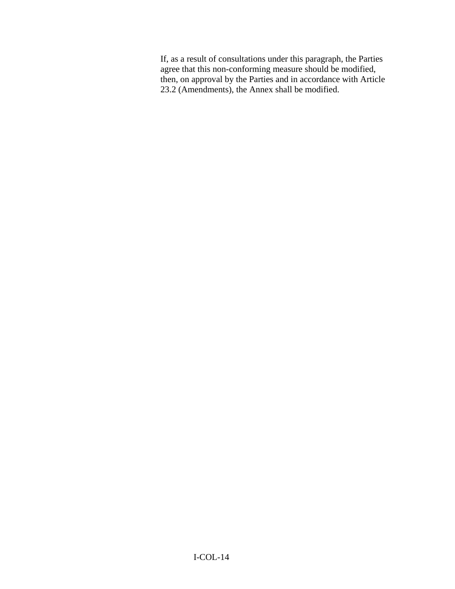If, as a result of consultations under this paragraph, the Parties agree that this non-conforming measure should be modified, then, on approval by the Parties and in accordance with Article 23.2 (Amendments), the Annex shall be modified.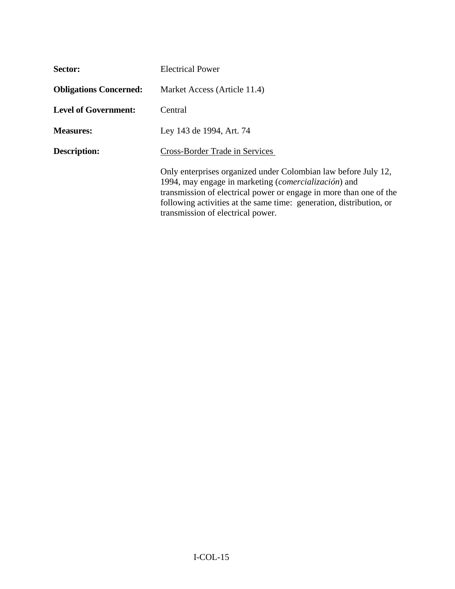| Sector:                       | <b>Electrical Power</b>                                                                                                                                                                                                                                                                                  |
|-------------------------------|----------------------------------------------------------------------------------------------------------------------------------------------------------------------------------------------------------------------------------------------------------------------------------------------------------|
| <b>Obligations Concerned:</b> | Market Access (Article 11.4)                                                                                                                                                                                                                                                                             |
| <b>Level of Government:</b>   | Central                                                                                                                                                                                                                                                                                                  |
| <b>Measures:</b>              | Ley 143 de 1994, Art. 74                                                                                                                                                                                                                                                                                 |
| Description:                  | Cross-Border Trade in Services                                                                                                                                                                                                                                                                           |
|                               | Only enterprises organized under Colombian law before July 12,<br>1994, may engage in marketing (comercialización) and<br>transmission of electrical power or engage in more than one of the<br>following activities at the same time: generation, distribution, or<br>transmission of electrical power. |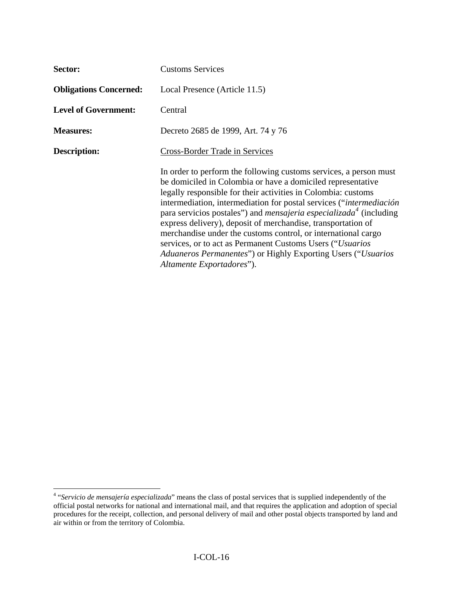| Sector:                       | <b>Customs Services</b>                                                                                                                                                                                                                                                                                                                                                                                                                                                                                                                                                                                                                                       |
|-------------------------------|---------------------------------------------------------------------------------------------------------------------------------------------------------------------------------------------------------------------------------------------------------------------------------------------------------------------------------------------------------------------------------------------------------------------------------------------------------------------------------------------------------------------------------------------------------------------------------------------------------------------------------------------------------------|
| <b>Obligations Concerned:</b> | Local Presence (Article 11.5)                                                                                                                                                                                                                                                                                                                                                                                                                                                                                                                                                                                                                                 |
| <b>Level of Government:</b>   | Central                                                                                                                                                                                                                                                                                                                                                                                                                                                                                                                                                                                                                                                       |
| <b>Measures:</b>              | Decreto 2685 de 1999, Art. 74 y 76                                                                                                                                                                                                                                                                                                                                                                                                                                                                                                                                                                                                                            |
| <b>Description:</b>           | Cross-Border Trade in Services                                                                                                                                                                                                                                                                                                                                                                                                                                                                                                                                                                                                                                |
|                               | In order to perform the following customs services, a person must<br>be domiciled in Colombia or have a domiciled representative<br>legally responsible for their activities in Colombia: customs<br>intermediation, intermediation for postal services ("intermediación<br>para servicios postales") and <i>mensajeria especializada</i> <sup>4</sup> (including<br>express delivery), deposit of merchandise, transportation of<br>merchandise under the customs control, or international cargo<br>services, or to act as Permanent Customs Users ("Usuarios"<br>Aduaneros Permanentes") or Highly Exporting Users ("Usuarios<br>Altamente Exportadores"). |

<span id="page-15-0"></span> 4 "*Servicio de mensajería especializada*" means the class of postal services that is supplied independently of the official postal networks for national and international mail, and that requires the application and adoption of special procedures for the receipt, collection, and personal delivery of mail and other postal objects transported by land and air within or from the territory of Colombia.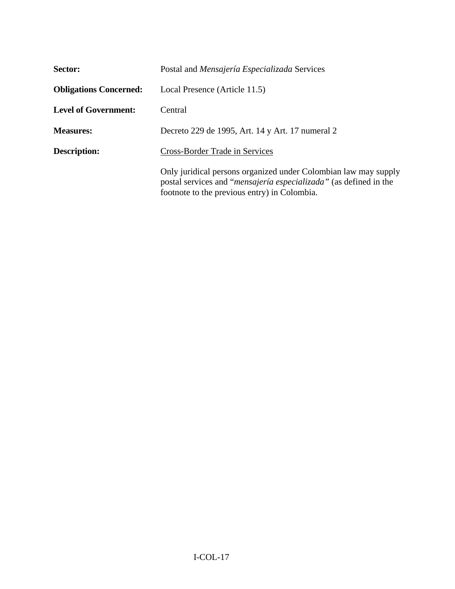| Sector:                       | Postal and <i>Mensajería Especializada</i> Services                                                                                                                                           |
|-------------------------------|-----------------------------------------------------------------------------------------------------------------------------------------------------------------------------------------------|
| <b>Obligations Concerned:</b> | Local Presence (Article 11.5)                                                                                                                                                                 |
| <b>Level of Government:</b>   | Central                                                                                                                                                                                       |
| <b>Measures:</b>              | Decreto 229 de 1995, Art. 14 y Art. 17 numeral 2                                                                                                                                              |
| <b>Description:</b>           | Cross-Border Trade in Services                                                                                                                                                                |
|                               | Only juridical persons organized under Colombian law may supply<br>postal services and " <i>mensajería especializada</i> " (as defined in the<br>footnote to the previous entry) in Colombia. |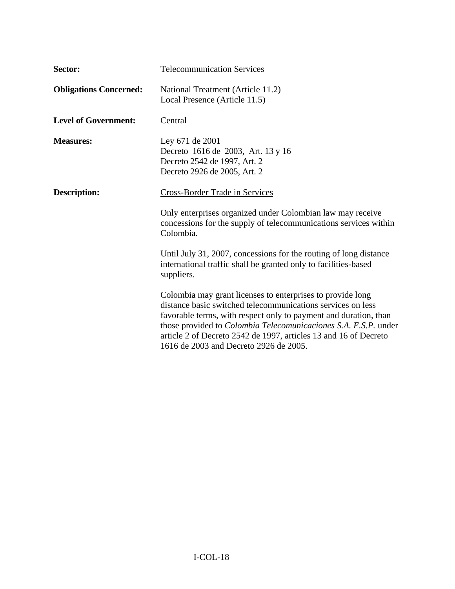| Sector:                       | <b>Telecommunication Services</b>                                                                                                                                                                                                                                                                                                                                                     |
|-------------------------------|---------------------------------------------------------------------------------------------------------------------------------------------------------------------------------------------------------------------------------------------------------------------------------------------------------------------------------------------------------------------------------------|
| <b>Obligations Concerned:</b> | National Treatment (Article 11.2)<br>Local Presence (Article 11.5)                                                                                                                                                                                                                                                                                                                    |
| <b>Level of Government:</b>   | Central                                                                                                                                                                                                                                                                                                                                                                               |
| <b>Measures:</b>              | Ley 671 de 2001<br>Decreto 1616 de 2003, Art. 13 y 16<br>Decreto 2542 de 1997, Art. 2<br>Decreto 2926 de 2005, Art. 2                                                                                                                                                                                                                                                                 |
| <b>Description:</b>           | <b>Cross-Border Trade in Services</b>                                                                                                                                                                                                                                                                                                                                                 |
|                               | Only enterprises organized under Colombian law may receive<br>concessions for the supply of telecommunications services within<br>Colombia.                                                                                                                                                                                                                                           |
|                               | Until July 31, 2007, concessions for the routing of long distance<br>international traffic shall be granted only to facilities-based<br>suppliers.                                                                                                                                                                                                                                    |
|                               | Colombia may grant licenses to enterprises to provide long<br>distance basic switched telecommunications services on less<br>favorable terms, with respect only to payment and duration, than<br>those provided to <i>Colombia Telecomunicaciones S.A. E.S.P.</i> under<br>article 2 of Decreto 2542 de 1997, articles 13 and 16 of Decreto<br>1616 de 2003 and Decreto 2926 de 2005. |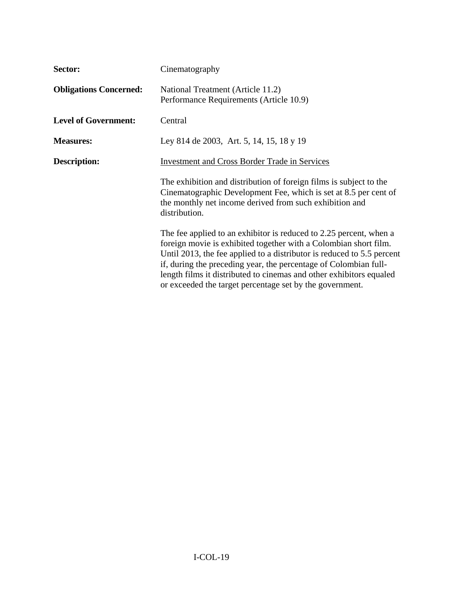| Sector:                       | Cinematography                                                                                                                                                                                                                                                                                                                                                                                                          |
|-------------------------------|-------------------------------------------------------------------------------------------------------------------------------------------------------------------------------------------------------------------------------------------------------------------------------------------------------------------------------------------------------------------------------------------------------------------------|
| <b>Obligations Concerned:</b> | National Treatment (Article 11.2)<br>Performance Requirements (Article 10.9)                                                                                                                                                                                                                                                                                                                                            |
| <b>Level of Government:</b>   | Central                                                                                                                                                                                                                                                                                                                                                                                                                 |
| <b>Measures:</b>              | Ley 814 de 2003, Art. 5, 14, 15, 18 y 19                                                                                                                                                                                                                                                                                                                                                                                |
| <b>Description:</b>           | <b>Investment and Cross Border Trade in Services</b>                                                                                                                                                                                                                                                                                                                                                                    |
|                               | The exhibition and distribution of foreign films is subject to the<br>Cinematographic Development Fee, which is set at 8.5 per cent of<br>the monthly net income derived from such exhibition and<br>distribution.                                                                                                                                                                                                      |
|                               | The fee applied to an exhibitor is reduced to 2.25 percent, when a<br>foreign movie is exhibited together with a Colombian short film.<br>Until 2013, the fee applied to a distributor is reduced to 5.5 percent<br>if, during the preceding year, the percentage of Colombian full-<br>length films it distributed to cinemas and other exhibitors equaled<br>or exceeded the target percentage set by the government. |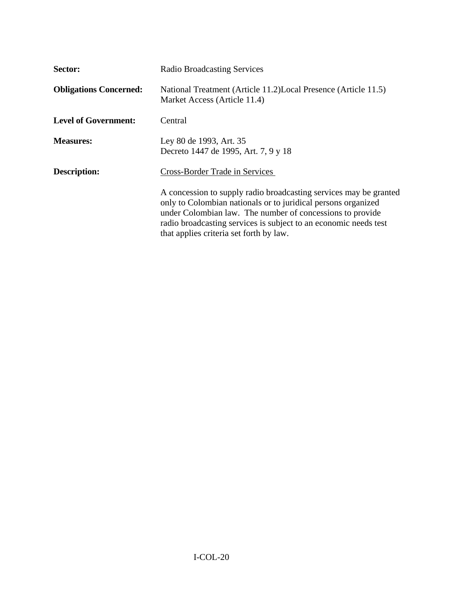| Sector:                       | <b>Radio Broadcasting Services</b>                                                                                                                                                                                                                                                                             |
|-------------------------------|----------------------------------------------------------------------------------------------------------------------------------------------------------------------------------------------------------------------------------------------------------------------------------------------------------------|
| <b>Obligations Concerned:</b> | National Treatment (Article 11.2) Local Presence (Article 11.5)<br>Market Access (Article 11.4)                                                                                                                                                                                                                |
| <b>Level of Government:</b>   | Central                                                                                                                                                                                                                                                                                                        |
| <b>Measures:</b>              | Ley 80 de 1993, Art. 35<br>Decreto 1447 de 1995, Art. 7, 9 y 18                                                                                                                                                                                                                                                |
| <b>Description:</b>           | <b>Cross-Border Trade in Services</b>                                                                                                                                                                                                                                                                          |
|                               | A concession to supply radio broadcasting services may be granted<br>only to Colombian nationals or to juridical persons organized<br>under Colombian law. The number of concessions to provide<br>radio broadcasting services is subject to an economic needs test<br>that applies criteria set forth by law. |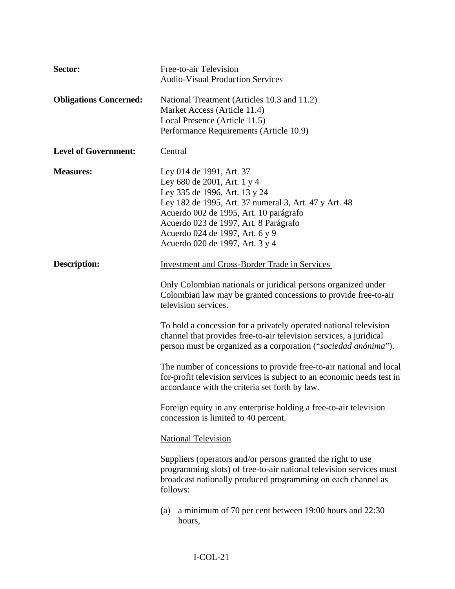| Sector:                       | Free-to-air Television<br><b>Audio-Visual Production Services</b>                                                                                                                                                                                                                                          |
|-------------------------------|------------------------------------------------------------------------------------------------------------------------------------------------------------------------------------------------------------------------------------------------------------------------------------------------------------|
| <b>Obligations Concerned:</b> | National Treatment (Articles 10.3 and 11.2)<br>Market Access (Article 11.4)<br>Local Presence (Article 11.5)<br>Performance Requirements (Article 10.9)                                                                                                                                                    |
| <b>Level of Government:</b>   | Central                                                                                                                                                                                                                                                                                                    |
| <b>Measures:</b>              | Ley 014 de 1991, Art. 37<br>Ley 680 de 2001, Art. 1 y 4<br>Ley 335 de 1996, Art. 13 y 24<br>Ley 182 de 1995, Art. 37 numeral 3, Art. 47 y Art. 48<br>Acuerdo 002 de 1995, Art. 10 parágrafo<br>Acuerdo 023 de 1997, Art. 8 Parágrafo<br>Acuerdo 024 de 1997, Art. 6 y 9<br>Acuerdo 020 de 1997, Art. 3 y 4 |
| <b>Description:</b>           | <b>Investment and Cross-Border Trade in Services</b>                                                                                                                                                                                                                                                       |
|                               | Only Colombian nationals or juridical persons organized under<br>Colombian law may be granted concessions to provide free-to-air<br>television services.                                                                                                                                                   |
|                               | To hold a concession for a privately operated national television<br>channel that provides free-to-air television services, a juridical<br>person must be organized as a corporation ("sociedad anónima").                                                                                                 |
|                               | The number of concessions to provide free-to-air national and local<br>for-profit television services is subject to an economic needs test in<br>accordance with the criteria set forth by law.                                                                                                            |
|                               | Foreign equity in any enterprise holding a free-to-air television<br>concession is limited to 40 percent.                                                                                                                                                                                                  |
|                               | <b>National Television</b>                                                                                                                                                                                                                                                                                 |
|                               | Suppliers (operators and/or persons granted the right to use<br>programming slots) of free-to-air national television services must<br>broadcast nationally produced programming on each channel as<br>follows:                                                                                            |
|                               | a minimum of 70 per cent between 19:00 hours and 22:30<br>(a)<br>hours,                                                                                                                                                                                                                                    |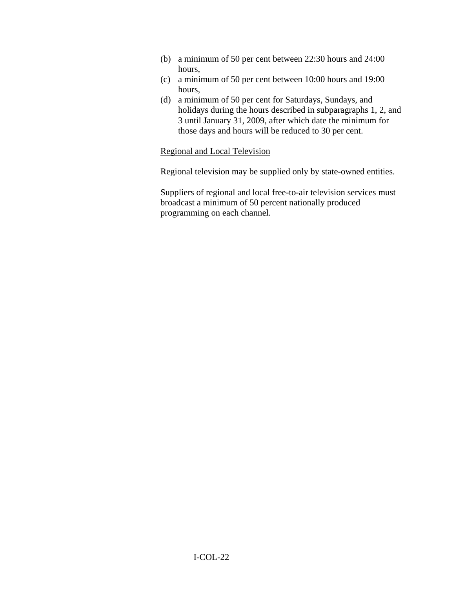- (b) a minimum of 50 per cent between 22:30 hours and 24:00 hours,
- (c) a minimum of 50 per cent between 10:00 hours and 19:00 hours,
- (d) a minimum of 50 per cent for Saturdays, Sundays, and holidays during the hours described in subparagraphs 1, 2, and 3 until January 31, 2009, after which date the minimum for those days and hours will be reduced to 30 per cent.

## Regional and Local Television

Regional television may be supplied only by state-owned entities.

Suppliers of regional and local free-to-air television services must broadcast a minimum of 50 percent nationally produced programming on each channel.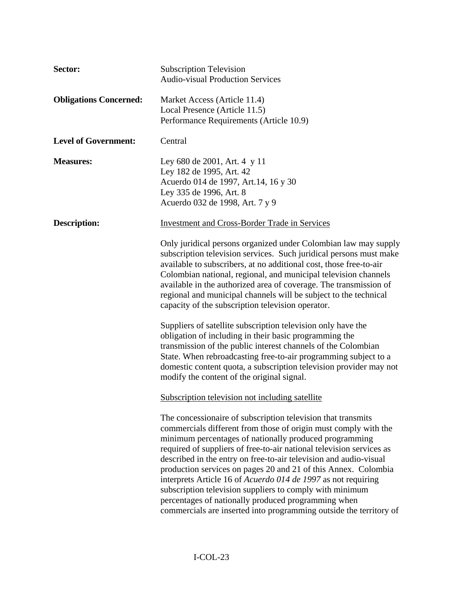| Sector:                       | <b>Subscription Television</b><br><b>Audio-visual Production Services</b>                                                                                                                                                                                                                                                                                                                                                                                                                                                                                                                                                                                          |
|-------------------------------|--------------------------------------------------------------------------------------------------------------------------------------------------------------------------------------------------------------------------------------------------------------------------------------------------------------------------------------------------------------------------------------------------------------------------------------------------------------------------------------------------------------------------------------------------------------------------------------------------------------------------------------------------------------------|
| <b>Obligations Concerned:</b> | Market Access (Article 11.4)<br>Local Presence (Article 11.5)<br>Performance Requirements (Article 10.9)                                                                                                                                                                                                                                                                                                                                                                                                                                                                                                                                                           |
| <b>Level of Government:</b>   | Central                                                                                                                                                                                                                                                                                                                                                                                                                                                                                                                                                                                                                                                            |
| <b>Measures:</b>              | Ley 680 de 2001, Art. 4 y 11<br>Ley 182 de 1995, Art. 42<br>Acuerdo 014 de 1997, Art. 14, 16 y 30<br>Ley 335 de 1996, Art. 8<br>Acuerdo 032 de 1998, Art. 7 y 9                                                                                                                                                                                                                                                                                                                                                                                                                                                                                                    |
| Description:                  | <b>Investment and Cross-Border Trade in Services</b>                                                                                                                                                                                                                                                                                                                                                                                                                                                                                                                                                                                                               |
|                               | Only juridical persons organized under Colombian law may supply<br>subscription television services. Such juridical persons must make<br>available to subscribers, at no additional cost, those free-to-air<br>Colombian national, regional, and municipal television channels<br>available in the authorized area of coverage. The transmission of<br>regional and municipal channels will be subject to the technical<br>capacity of the subscription television operator.                                                                                                                                                                                       |
|                               | Suppliers of satellite subscription television only have the<br>obligation of including in their basic programming the<br>transmission of the public interest channels of the Colombian<br>State. When rebroadcasting free-to-air programming subject to a<br>domestic content quota, a subscription television provider may not<br>modify the content of the original signal.                                                                                                                                                                                                                                                                                     |
|                               | Subscription television not including satellite                                                                                                                                                                                                                                                                                                                                                                                                                                                                                                                                                                                                                    |
|                               | The concessionaire of subscription television that transmits<br>commercials different from those of origin must comply with the<br>minimum percentages of nationally produced programming<br>required of suppliers of free-to-air national television services as<br>described in the entry on free-to-air television and audio-visual<br>production services on pages 20 and 21 of this Annex. Colombia<br>interprets Article 16 of Acuerdo 014 de 1997 as not requiring<br>subscription television suppliers to comply with minimum<br>percentages of nationally produced programming when<br>commercials are inserted into programming outside the territory of |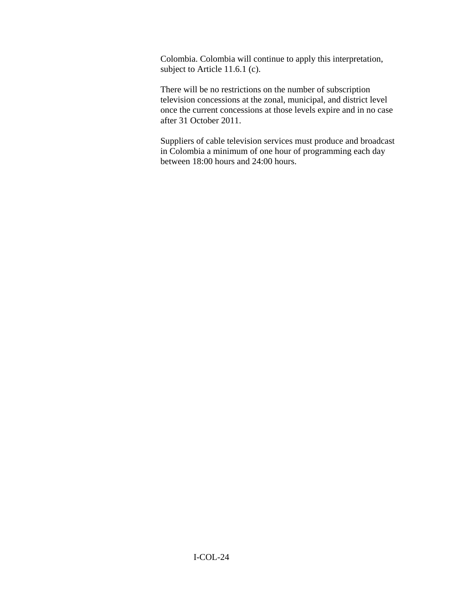Colombia. Colombia will continue to apply this interpretation, subject to Article 11.6.1 (c).

There will be no restrictions on the number of subscription television concessions at the zonal, municipal, and district level once the current concessions at those levels expire and in no case after 31 October 2011.

Suppliers of cable television services must produce and broadcast in Colombia a minimum of one hour of programming each day between 18:00 hours and 24:00 hours.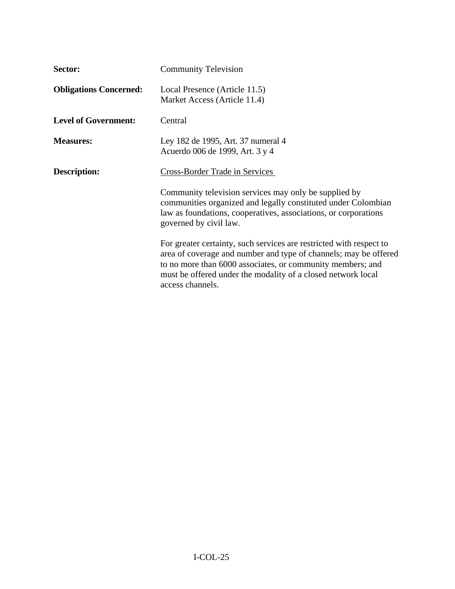| Sector:                       | <b>Community Television</b>                                                                                                                                                                                                                                                               |
|-------------------------------|-------------------------------------------------------------------------------------------------------------------------------------------------------------------------------------------------------------------------------------------------------------------------------------------|
| <b>Obligations Concerned:</b> | Local Presence (Article 11.5)<br>Market Access (Article 11.4)                                                                                                                                                                                                                             |
| <b>Level of Government:</b>   | Central                                                                                                                                                                                                                                                                                   |
| <b>Measures:</b>              | Ley 182 de 1995, Art. 37 numeral 4<br>Acuerdo 006 de 1999, Art. 3 y 4                                                                                                                                                                                                                     |
| <b>Description:</b>           | Cross-Border Trade in Services                                                                                                                                                                                                                                                            |
|                               | Community television services may only be supplied by<br>communities organized and legally constituted under Colombian<br>law as foundations, cooperatives, associations, or corporations<br>governed by civil law.                                                                       |
|                               | For greater certainty, such services are restricted with respect to<br>area of coverage and number and type of channels; may be offered<br>to no more than 6000 associates, or community members; and<br>must be offered under the modality of a closed network local<br>access channels. |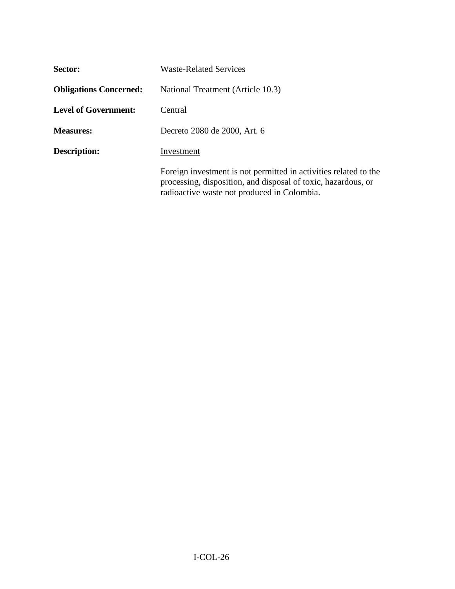| Sector:                       | Waste-Related Services                                                                                                                                                           |
|-------------------------------|----------------------------------------------------------------------------------------------------------------------------------------------------------------------------------|
| <b>Obligations Concerned:</b> | National Treatment (Article 10.3)                                                                                                                                                |
| <b>Level of Government:</b>   | Central                                                                                                                                                                          |
| <b>Measures:</b>              | Decreto 2080 de 2000, Art. 6                                                                                                                                                     |
| <b>Description:</b>           | Investment                                                                                                                                                                       |
|                               | Foreign investment is not permitted in activities related to the<br>processing, disposition, and disposal of toxic, hazardous, or<br>radioactive waste not produced in Colombia. |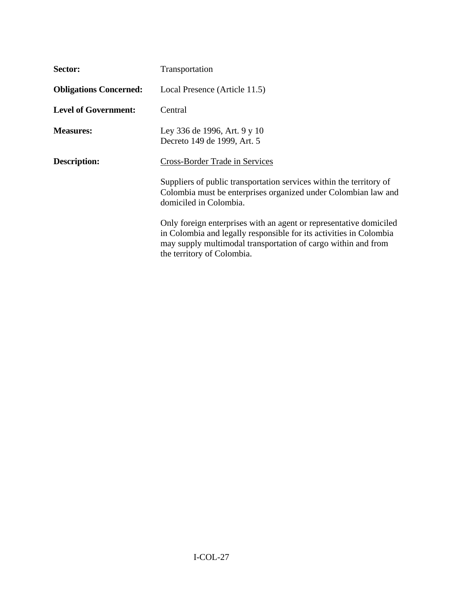| Sector:                       | Transportation                                                                                                                                                                                                                          |
|-------------------------------|-----------------------------------------------------------------------------------------------------------------------------------------------------------------------------------------------------------------------------------------|
| <b>Obligations Concerned:</b> | Local Presence (Article 11.5)                                                                                                                                                                                                           |
| <b>Level of Government:</b>   | Central                                                                                                                                                                                                                                 |
| <b>Measures:</b>              | Ley 336 de 1996, Art. 9 y 10<br>Decreto 149 de 1999, Art. 5                                                                                                                                                                             |
| <b>Description:</b>           | <b>Cross-Border Trade in Services</b>                                                                                                                                                                                                   |
|                               | Suppliers of public transportation services within the territory of<br>Colombia must be enterprises organized under Colombian law and<br>domiciled in Colombia.                                                                         |
|                               | Only foreign enterprises with an agent or representative domiciled<br>in Colombia and legally responsible for its activities in Colombia<br>may supply multimodal transportation of cargo within and from<br>the territory of Colombia. |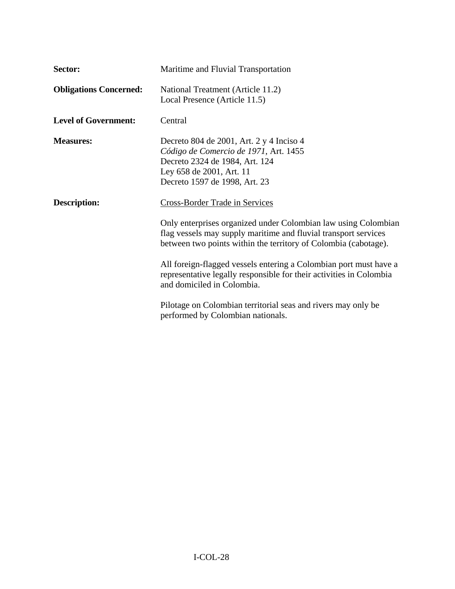| Sector:                       | Maritime and Fluvial Transportation                                                                                                                                                                                                                                                                         |
|-------------------------------|-------------------------------------------------------------------------------------------------------------------------------------------------------------------------------------------------------------------------------------------------------------------------------------------------------------|
| <b>Obligations Concerned:</b> | National Treatment (Article 11.2)<br>Local Presence (Article 11.5)                                                                                                                                                                                                                                          |
| <b>Level of Government:</b>   | Central                                                                                                                                                                                                                                                                                                     |
| <b>Measures:</b>              | Decreto 804 de 2001, Art. 2 y 4 Inciso 4<br>Código de Comercio de 1971, Art. 1455<br>Decreto 2324 de 1984, Art. 124<br>Ley 658 de 2001, Art. 11<br>Decreto 1597 de 1998, Art. 23                                                                                                                            |
| <b>Description:</b>           | Cross-Border Trade in Services<br>Only enterprises organized under Colombian law using Colombian<br>flag vessels may supply maritime and fluvial transport services<br>between two points within the territory of Colombia (cabotage).<br>All foreign-flagged vessels entering a Colombian port must have a |
|                               | representative legally responsible for their activities in Colombia<br>and domiciled in Colombia.<br>Pilotage on Colombian territorial seas and rivers may only be<br>performed by Colombian nationals.                                                                                                     |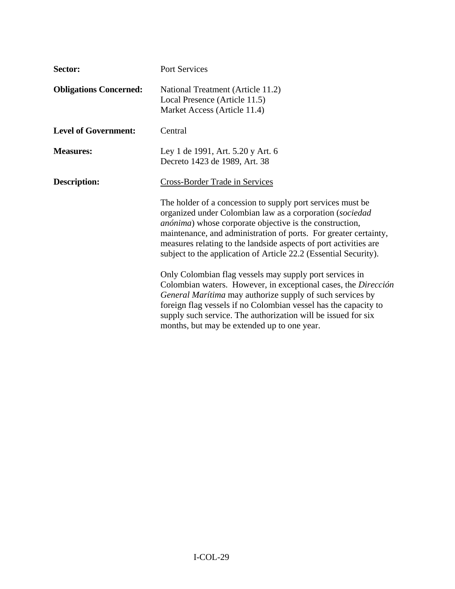| Sector:                       | Port Services                                                                                                                                                                                                                                                                                                                                                                                         |
|-------------------------------|-------------------------------------------------------------------------------------------------------------------------------------------------------------------------------------------------------------------------------------------------------------------------------------------------------------------------------------------------------------------------------------------------------|
| <b>Obligations Concerned:</b> | National Treatment (Article 11.2)<br>Local Presence (Article 11.5)<br>Market Access (Article 11.4)                                                                                                                                                                                                                                                                                                    |
| <b>Level of Government:</b>   | Central                                                                                                                                                                                                                                                                                                                                                                                               |
| <b>Measures:</b>              | Ley 1 de 1991, Art. 5.20 y Art. 6<br>Decreto 1423 de 1989, Art. 38                                                                                                                                                                                                                                                                                                                                    |
| <b>Description:</b>           | <b>Cross-Border Trade in Services</b>                                                                                                                                                                                                                                                                                                                                                                 |
|                               | The holder of a concession to supply port services must be<br>organized under Colombian law as a corporation (sociedad<br><i>anónima</i> ) whose corporate objective is the construction,<br>maintenance, and administration of ports. For greater certainty,<br>measures relating to the landside aspects of port activities are<br>subject to the application of Article 22.2 (Essential Security). |
|                               | Only Colombian flag vessels may supply port services in<br>Colombian waters. However, in exceptional cases, the Dirección<br>General Marítima may authorize supply of such services by<br>foreign flag vessels if no Colombian vessel has the capacity to<br>supply such service. The authorization will be issued for six<br>months, but may be extended up to one year.                             |